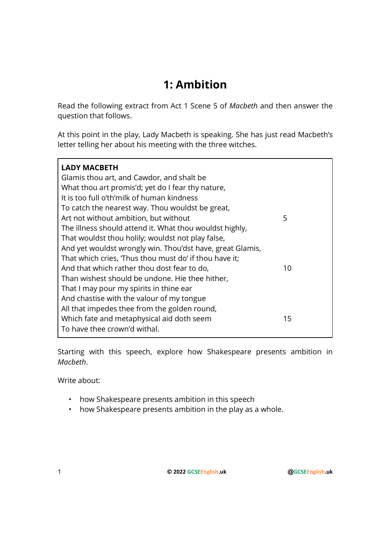## 1: Ambition

Read the following extract from Act 1 Scene 5 of Macbeth and then answer the question that follows.

At this point in the play, Lady Macbeth is speaking. She has just read Macbeth's letter telling her about his meeting with the three witches.

| <b>LADY MACBETH</b><br>Glamis thou art, and Cawdor, and shalt be<br>What thou art promis'd; yet do I fear thy nature,<br>It is too full o'th'milk of human kindness |    |
|---------------------------------------------------------------------------------------------------------------------------------------------------------------------|----|
| To catch the nearest way. Thou wouldst be great,                                                                                                                    |    |
| Art not without ambition, but without                                                                                                                               | 5  |
| The illness should attend it. What thou wouldst highly,<br>That wouldst thou holily; wouldst not play false,                                                        |    |
| And yet wouldst wrongly win. Thou'dst have, great Glamis,                                                                                                           |    |
| That which cries, Thus thou must do' if thou have it;                                                                                                               |    |
| And that which rather thou dost fear to do,                                                                                                                         | 10 |
| Than wishest should be undone. Hie thee hither,                                                                                                                     |    |
| That I may pour my spirits in thine ear                                                                                                                             |    |
| And chastise with the valour of my tongue                                                                                                                           |    |
| All that impedes thee from the golden round,                                                                                                                        |    |
| Which fate and metaphysical aid doth seem                                                                                                                           | 15 |
| To have thee crown'd withal.                                                                                                                                        |    |

Starting with this speech, explore how Shakespeare presents ambition in Macbeth.

Write about:

- how Shakespeare presents ambition in this speech
- how Shakespeare presents ambition in the play as a whole.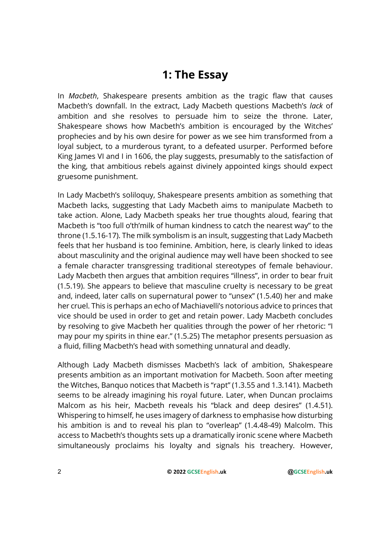## 1: The Essay

In Macbeth, Shakespeare presents ambition as the tragic flaw that causes Macbeth's downfall. In the extract, Lady Macbeth questions Macbeth's lack of ambition and she resolves to persuade him to seize the throne. Later, Shakespeare shows how Macbeth's ambition is encouraged by the Witches' prophecies and by his own desire for power as we see him transformed from a loyal subject, to a murderous tyrant, to a defeated usurper. Performed before King James VI and I in 1606, the play suggests, presumably to the satisfaction of the king, that ambitious rebels against divinely appointed kings should expect gruesome punishment.

In Lady Macbeth's soliloquy, Shakespeare presents ambition as something that Macbeth lacks, suggesting that Lady Macbeth aims to manipulate Macbeth to take action. Alone, Lady Macbeth speaks her true thoughts aloud, fearing that Macbeth is "too full o'th'milk of human kindness to catch the nearest way" to the throne (1.5.16-17). The milk symbolism is an insult, suggesting that Lady Macbeth feels that her husband is too feminine. Ambition, here, is clearly linked to ideas about masculinity and the original audience may well have been shocked to see a female character transgressing traditional stereotypes of female behaviour. Lady Macbeth then argues that ambition requires "illness", in order to bear fruit (1.5.19). She appears to believe that masculine cruelty is necessary to be great and, indeed, later calls on supernatural power to "unsex" (1.5.40) her and make her cruel. This is perhaps an echo of Machiavelli's notorious advice to princes that vice should be used in order to get and retain power. Lady Macbeth concludes by resolving to give Macbeth her qualities through the power of her rhetoric: "I may pour my spirits in thine ear." (1.5.25) The metaphor presents persuasion as a fluid, filling Macbeth's head with something unnatural and deadly.

Although Lady Macbeth dismisses Macbeth's lack of ambition, Shakespeare presents ambition as an important motivation for Macbeth. Soon after meeting the Witches, Banquo notices that Macbeth is "rapt" (1.3.55 and 1.3.141). Macbeth seems to be already imagining his royal future. Later, when Duncan proclaims Malcom as his heir, Macbeth reveals his "black and deep desires" (1.4.51). Whispering to himself, he uses imagery of darkness to emphasise how disturbing his ambition is and to reveal his plan to "overleap" (1.4.48-49) Malcolm. This access to Macbeth's thoughts sets up a dramatically ironic scene where Macbeth simultaneously proclaims his loyalty and signals his treachery. However,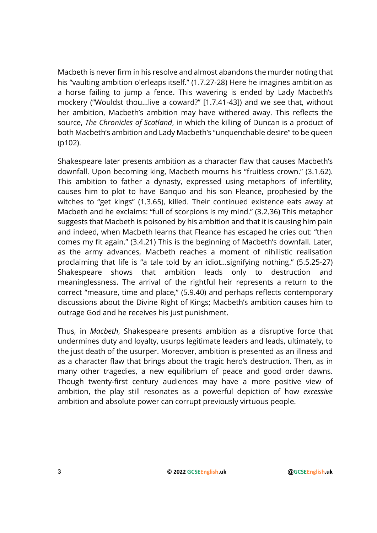Macbeth is never firm in his resolve and almost abandons the murder noting that his "vaulting ambition o'erleaps itself." (1.7.27-28) Here he imagines ambition as a horse failing to jump a fence. This wavering is ended by Lady Macbeth's mockery ("Wouldst thou…live a coward?" [1.7.41-43]) and we see that, without her ambition, Macbeth's ambition may have withered away. This reflects the source, The Chronicles of Scotland, in which the killing of Duncan is a product of both Macbeth's ambition and Lady Macbeth's "unquenchable desire" to be queen (p102).

Shakespeare later presents ambition as a character flaw that causes Macbeth's downfall. Upon becoming king, Macbeth mourns his "fruitless crown." (3.1.62). This ambition to father a dynasty, expressed using metaphors of infertility, causes him to plot to have Banquo and his son Fleance, prophesied by the witches to "get kings" (1.3.65), killed. Their continued existence eats away at Macbeth and he exclaims: "full of scorpions is my mind." (3.2.36) This metaphor suggests that Macbeth is poisoned by his ambition and that it is causing him pain and indeed, when Macbeth learns that Fleance has escaped he cries out: "then comes my fit again." (3.4.21) This is the beginning of Macbeth's downfall. Later, as the army advances, Macbeth reaches a moment of nihilistic realisation proclaiming that life is "a tale told by an idiot…signifying nothing." (5.5.25-27) Shakespeare shows that ambition leads only to destruction and meaninglessness. The arrival of the rightful heir represents a return to the correct "measure, time and place," (5.9.40) and perhaps reflects contemporary discussions about the Divine Right of Kings; Macbeth's ambition causes him to outrage God and he receives his just punishment.

Thus, in Macbeth, Shakespeare presents ambition as a disruptive force that undermines duty and loyalty, usurps legitimate leaders and leads, ultimately, to the just death of the usurper. Moreover, ambition is presented as an illness and as a character flaw that brings about the tragic hero's destruction. Then, as in many other tragedies, a new equilibrium of peace and good order dawns. Though twenty-first century audiences may have a more positive view of ambition, the play still resonates as a powerful depiction of how excessive ambition and absolute power can corrupt previously virtuous people.